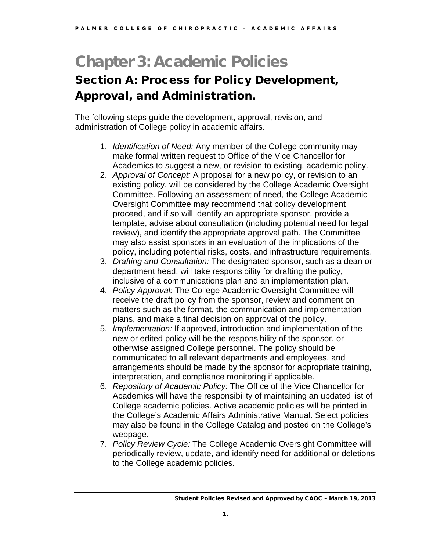# Chapter 3: Academic Policies

# Section A: Process for Policy Development, Approval, and Administration.

The following steps guide the development, approval, revision, and administration of College policy in academic affairs.

- 1. *Identification of Need:* Any member of the College community may make formal written request to Office of the Vice Chancellor for Academics to suggest a new, or revision to existing, academic policy.
- 2. *Approval of Concept:* A proposal for a new policy, or revision to an existing policy, will be considered by the College Academic Oversight Committee. Following an assessment of need, the College Academic Oversight Committee may recommend that policy development proceed, and if so will identify an appropriate sponsor, provide a template, advise about consultation (including potential need for legal review), and identify the appropriate approval path. The Committee may also assist sponsors in an evaluation of the implications of the policy, including potential risks, costs, and infrastructure requirements.
- 3. *Drafting and Consultation:* The designated sponsor, such as a dean or department head, will take responsibility for drafting the policy, inclusive of a communications plan and an implementation plan.
- 4. *Policy Approval:* The College Academic Oversight Committee will receive the draft policy from the sponsor, review and comment on matters such as the format, the communication and implementation plans, and make a final decision on approval of the policy.
- 5. *Implementation:* If approved, introduction and implementation of the new or edited policy will be the responsibility of the sponsor, or otherwise assigned College personnel. The policy should be communicated to all relevant departments and employees, and arrangements should be made by the sponsor for appropriate training, interpretation, and compliance monitoring if applicable.
- 6. *Repository of Academic Policy:* The Office of the Vice Chancellor for Academics will have the responsibility of maintaining an updated list of College academic policies. Active academic policies will be printed in the College's Academic Affairs Administrative Manual. Select policies may also be found in the College Catalog and posted on the College's webpage.
- 7. *Policy Review Cycle:* The College Academic Oversight Committee will periodically review, update, and identify need for additional or deletions to the College academic policies.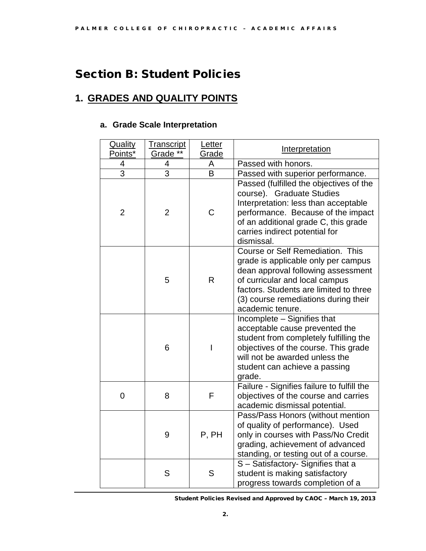# Section B: Student Policies

# **1. GRADES AND QUALITY POINTS**

### **a. Grade Scale Interpretation**

| Quality<br>Points* | <u>Transcript</u><br>Grade ** | Letter<br>Grade         | Interpretation                                                                                                                                                                                                                                        |
|--------------------|-------------------------------|-------------------------|-------------------------------------------------------------------------------------------------------------------------------------------------------------------------------------------------------------------------------------------------------|
| 4                  | 4                             | Α                       | Passed with honors.                                                                                                                                                                                                                                   |
| $\overline{3}$     | $\overline{3}$                | $\overline{\mathsf{B}}$ | Passed with superior performance.                                                                                                                                                                                                                     |
| $\overline{2}$     | $\overline{2}$                | C                       | Passed (fulfilled the objectives of the<br>course). Graduate Studies<br>Interpretation: less than acceptable<br>performance. Because of the impact<br>of an additional grade C, this grade<br>carries indirect potential for<br>dismissal.            |
|                    | 5                             | $\mathsf{R}$            | Course or Self Remediation. This<br>grade is applicable only per campus<br>dean approval following assessment<br>of curricular and local campus<br>factors. Students are limited to three<br>(3) course remediations during their<br>academic tenure. |
|                    | 6                             | I                       | Incomplete - Signifies that<br>acceptable cause prevented the<br>student from completely fulfilling the<br>objectives of the course. This grade<br>will not be awarded unless the<br>student can achieve a passing<br>grade.                          |
| $\mathbf 0$        | 8                             | F                       | Failure - Signifies failure to fulfill the<br>objectives of the course and carries<br>academic dismissal potential.                                                                                                                                   |
|                    | 9                             | P, PH                   | Pass/Pass Honors (without mention<br>of quality of performance). Used<br>only in courses with Pass/No Credit<br>grading, achievement of advanced<br>standing, or testing out of a course.                                                             |
|                    | S                             | S                       | S - Satisfactory- Signifies that a<br>student is making satisfactory<br>progress towards completion of a                                                                                                                                              |

Student Policies Revised and Approved by CAOC – March 19, 2013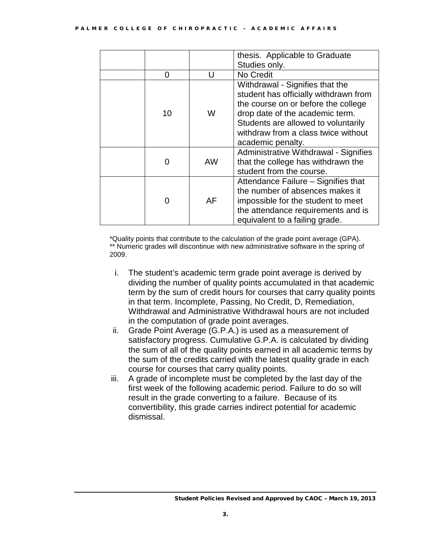|    |    | thesis. Applicable to Graduate<br>Studies only.                                                                                                                                                                                                       |
|----|----|-------------------------------------------------------------------------------------------------------------------------------------------------------------------------------------------------------------------------------------------------------|
| 0  | U  | No Credit                                                                                                                                                                                                                                             |
| 10 | W  | Withdrawal - Signifies that the<br>student has officially withdrawn from<br>the course on or before the college<br>drop date of the academic term.<br>Students are allowed to voluntarily<br>withdraw from a class twice without<br>academic penalty. |
| 0  | AW | Administrative Withdrawal - Signifies<br>that the college has withdrawn the<br>student from the course.                                                                                                                                               |
| 0  | AF | Attendance Failure – Signifies that<br>the number of absences makes it<br>impossible for the student to meet<br>the attendance requirements and is<br>equivalent to a failing grade.                                                                  |

\*Quality points that contribute to the calculation of the grade point average (GPA). \*\* Numeric grades will discontinue with new administrative software in the spring of 2009.

- i. The student's academic term grade point average is derived by dividing the number of quality points accumulated in that academic term by the sum of credit hours for courses that carry quality points in that term. Incomplete, Passing, No Credit, D, Remediation, Withdrawal and Administrative Withdrawal hours are not included in the computation of grade point averages.
- ii. Grade Point Average (G.P.A.) is used as a measurement of satisfactory progress. Cumulative G.P.A. is calculated by dividing the sum of all of the quality points earned in all academic terms by the sum of the credits carried with the latest quality grade in each course for courses that carry quality points.
- iii. A grade of incomplete must be completed by the last day of the first week of the following academic period. Failure to do so will result in the grade converting to a failure. Because of its convertibility, this grade carries indirect potential for academic dismissal.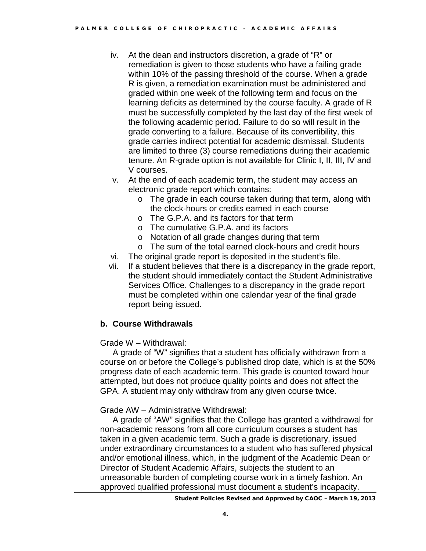- iv. At the dean and instructors discretion, a grade of "R" or remediation is given to those students who have a failing grade within 10% of the passing threshold of the course. When a grade R is given, a remediation examination must be administered and graded within one week of the following term and focus on the learning deficits as determined by the course faculty. A grade of R must be successfully completed by the last day of the first week of the following academic period. Failure to do so will result in the grade converting to a failure. Because of its convertibility, this grade carries indirect potential for academic dismissal. Students are limited to three (3) course remediations during their academic tenure. An R-grade option is not available for Clinic I, II, III, IV and V courses.
- v. At the end of each academic term, the student may access an electronic grade report which contains:
	- o The grade in each course taken during that term, along with the clock-hours or credits earned in each course
	- o The G.P.A. and its factors for that term
	- o The cumulative G.P.A. and its factors
	- o Notation of all grade changes during that term
	- o The sum of the total earned clock-hours and credit hours
- vi. The original grade report is deposited in the student's file.
- vii. If a student believes that there is a discrepancy in the grade report, the student should immediately contact the Student Administrative Services Office. Challenges to a discrepancy in the grade report must be completed within one calendar year of the final grade report being issued.

### **b. Course Withdrawals**

### Grade W – Withdrawal:

A grade of "W" signifies that a student has officially withdrawn from a course on or before the College's published drop date, which is at the 50% progress date of each academic term. This grade is counted toward hour attempted, but does not produce quality points and does not affect the GPA. A student may only withdraw from any given course twice.

Grade AW – Administrative Withdrawal:

A grade of "AW" signifies that the College has granted a withdrawal for non-academic reasons from all core curriculum courses a student has taken in a given academic term. Such a grade is discretionary, issued under extraordinary circumstances to a student who has suffered physical and/or emotional illness, which, in the judgment of the Academic Dean or Director of Student Academic Affairs, subjects the student to an unreasonable burden of completing course work in a timely fashion. An approved qualified professional must document a student's incapacity.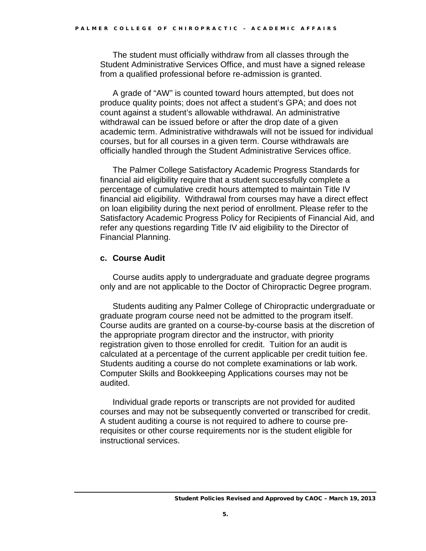The student must officially withdraw from all classes through the Student Administrative Services Office, and must have a signed release from a qualified professional before re-admission is granted.

A grade of "AW" is counted toward hours attempted, but does not produce quality points; does not affect a student's GPA; and does not count against a student's allowable withdrawal. An administrative withdrawal can be issued before or after the drop date of a given academic term. Administrative withdrawals will not be issued for individual courses, but for all courses in a given term. Course withdrawals are officially handled through the Student Administrative Services office.

The Palmer College Satisfactory Academic Progress Standards for financial aid eligibility require that a student successfully complete a percentage of cumulative credit hours attempted to maintain Title IV financial aid eligibility. Withdrawal from courses may have a direct effect on loan eligibility during the next period of enrollment. Please refer to the Satisfactory Academic Progress Policy for Recipients of Financial Aid, and refer any questions regarding Title IV aid eligibility to the Director of Financial Planning.

### **c. Course Audit**

Course audits apply to undergraduate and graduate degree programs only and are not applicable to the Doctor of Chiropractic Degree program.

Students auditing any Palmer College of Chiropractic undergraduate or graduate program course need not be admitted to the program itself. Course audits are granted on a course-by-course basis at the discretion of the appropriate program director and the instructor, with priority registration given to those enrolled for credit. Tuition for an audit is calculated at a percentage of the current applicable per credit tuition fee. Students auditing a course do not complete examinations or lab work. Computer Skills and Bookkeeping Applications courses may not be audited.

Individual grade reports or transcripts are not provided for audited courses and may not be subsequently converted or transcribed for credit. A student auditing a course is not required to adhere to course prerequisites or other course requirements nor is the student eligible for instructional services.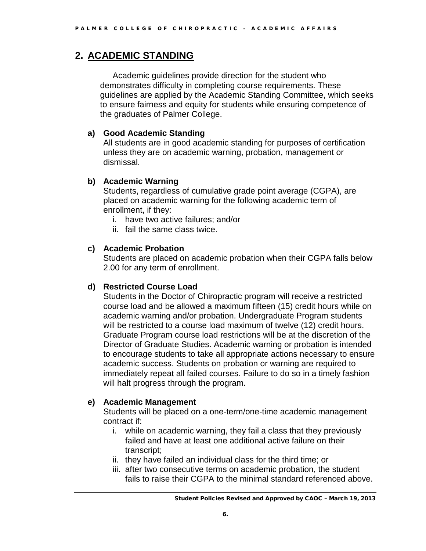# **2. ACADEMIC STANDING**

Academic guidelines provide direction for the student who demonstrates difficulty in completing course requirements. These guidelines are applied by the Academic Standing Committee, which seeks to ensure fairness and equity for students while ensuring competence of the graduates of Palmer College.

### **a) Good Academic Standing**

All students are in good academic standing for purposes of certification unless they are on academic warning, probation, management or dismissal.

### **b) Academic Warning**

Students, regardless of cumulative grade point average (CGPA), are placed on academic warning for the following academic term of enrollment, if they:

- i. have two active failures; and/or
- ii. fail the same class twice.

### **c) Academic Probation**

Students are placed on academic probation when their CGPA falls below 2.00 for any term of enrollment.

### **d) Restricted Course Load**

Students in the Doctor of Chiropractic program will receive a restricted course load and be allowed a maximum fifteen (15) credit hours while on academic warning and/or probation. Undergraduate Program students will be restricted to a course load maximum of twelve (12) credit hours. Graduate Program course load restrictions will be at the discretion of the Director of Graduate Studies. Academic warning or probation is intended to encourage students to take all appropriate actions necessary to ensure academic success. Students on probation or warning are required to immediately repeat all failed courses. Failure to do so in a timely fashion will halt progress through the program.

### **e) Academic Management**

Students will be placed on a one-term/one-time academic management contract if:

- i. while on academic warning, they fail a class that they previously failed and have at least one additional active failure on their transcript;
- ii. they have failed an individual class for the third time; or
- iii. after two consecutive terms on academic probation, the student fails to raise their CGPA to the minimal standard referenced above.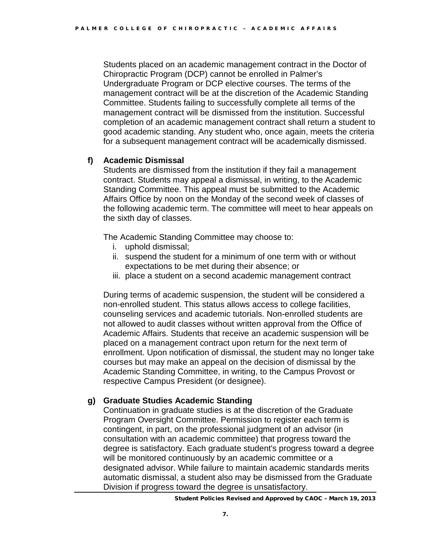Students placed on an academic management contract in the Doctor of Chiropractic Program (DCP) cannot be enrolled in Palmer's Undergraduate Program or DCP elective courses. The terms of the management contract will be at the discretion of the Academic Standing Committee. Students failing to successfully complete all terms of the management contract will be dismissed from the institution. Successful completion of an academic management contract shall return a student to good academic standing. Any student who, once again, meets the criteria for a subsequent management contract will be academically dismissed.

### **f) Academic Dismissal**

Students are dismissed from the institution if they fail a management contract. Students may appeal a dismissal, in writing, to the Academic Standing Committee. This appeal must be submitted to the Academic Affairs Office by noon on the Monday of the second week of classes of the following academic term. The committee will meet to hear appeals on the sixth day of classes.

The Academic Standing Committee may choose to:

- i. uphold dismissal;
- ii. suspend the student for a minimum of one term with or without expectations to be met during their absence; or
- iii. place a student on a second academic management contract

During terms of academic suspension, the student will be considered a non-enrolled student. This status allows access to college facilities, counseling services and academic tutorials. Non-enrolled students are not allowed to audit classes without written approval from the Office of Academic Affairs. Students that receive an academic suspension will be placed on a management contract upon return for the next term of enrollment. Upon notification of dismissal, the student may no longer take courses but may make an appeal on the decision of dismissal by the Academic Standing Committee, in writing, to the Campus Provost or respective Campus President (or designee).

### **g) Graduate Studies Academic Standing**

Continuation in graduate studies is at the discretion of the Graduate Program Oversight Committee. Permission to register each term is contingent, in part, on the professional judgment of an advisor (in consultation with an academic committee) that progress toward the degree is satisfactory. Each graduate student's progress toward a degree will be monitored continuously by an academic committee or a designated advisor. While failure to maintain academic standards merits automatic dismissal, a student also may be dismissed from the Graduate Division if progress toward the degree is unsatisfactory.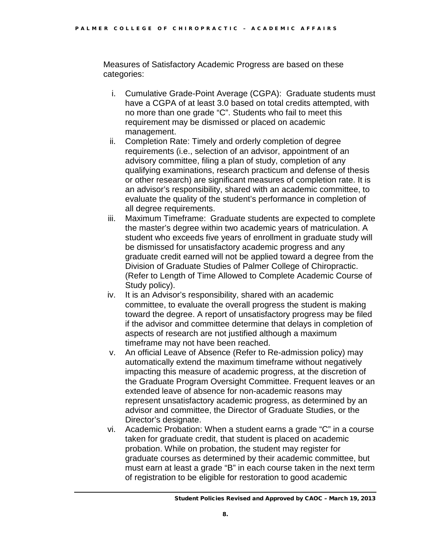Measures of Satisfactory Academic Progress are based on these categories:

- i. Cumulative Grade-Point Average (CGPA): Graduate students must have a CGPA of at least 3.0 based on total credits attempted, with no more than one grade "C". Students who fail to meet this requirement may be dismissed or placed on academic management.
- ii. Completion Rate: Timely and orderly completion of degree requirements (i.e., selection of an advisor, appointment of an advisory committee, filing a plan of study, completion of any qualifying examinations, research practicum and defense of thesis or other research) are significant measures of completion rate. It is an advisor's responsibility, shared with an academic committee, to evaluate the quality of the student's performance in completion of all degree requirements.
- iii. Maximum Timeframe: Graduate students are expected to complete the master's degree within two academic years of matriculation. A student who exceeds five years of enrollment in graduate study will be dismissed for unsatisfactory academic progress and any graduate credit earned will not be applied toward a degree from the Division of Graduate Studies of Palmer College of Chiropractic. (Refer to Length of Time Allowed to Complete Academic Course of Study policy).
- iv. It is an Advisor's responsibility, shared with an academic committee, to evaluate the overall progress the student is making toward the degree. A report of unsatisfactory progress may be filed if the advisor and committee determine that delays in completion of aspects of research are not justified although a maximum timeframe may not have been reached.
- v. An official Leave of Absence (Refer to Re-admission policy) may automatically extend the maximum timeframe without negatively impacting this measure of academic progress, at the discretion of the Graduate Program Oversight Committee. Frequent leaves or an extended leave of absence for non-academic reasons may represent unsatisfactory academic progress, as determined by an advisor and committee, the Director of Graduate Studies, or the Director's designate.
- vi. Academic Probation: When a student earns a grade "C" in a course taken for graduate credit, that student is placed on academic probation. While on probation, the student may register for graduate courses as determined by their academic committee, but must earn at least a grade "B" in each course taken in the next term of registration to be eligible for restoration to good academic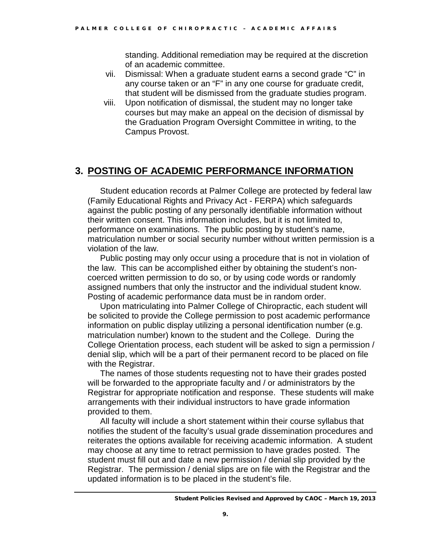standing. Additional remediation may be required at the discretion of an academic committee.

- vii. Dismissal: When a graduate student earns a second grade "C" in any course taken or an "F" in any one course for graduate credit, that student will be dismissed from the graduate studies program.
- viii. Upon notification of dismissal, the student may no longer take courses but may make an appeal on the decision of dismissal by the Graduation Program Oversight Committee in writing, to the Campus Provost.

# **3. POSTING OF ACADEMIC PERFORMANCE INFORMATION**

Student education records at Palmer College are protected by federal law (Family Educational Rights and Privacy Act - FERPA) which safeguards against the public posting of any personally identifiable information without their written consent. This information includes, but it is not limited to, performance on examinations. The public posting by student's name, matriculation number or social security number without written permission is a violation of the law.

Public posting may only occur using a procedure that is not in violation of the law. This can be accomplished either by obtaining the student's noncoerced written permission to do so, or by using code words or randomly assigned numbers that only the instructor and the individual student know. Posting of academic performance data must be in random order.

Upon matriculating into Palmer College of Chiropractic, each student will be solicited to provide the College permission to post academic performance information on public display utilizing a personal identification number (e.g. matriculation number) known to the student and the College. During the College Orientation process, each student will be asked to sign a permission / denial slip, which will be a part of their permanent record to be placed on file with the Registrar.

The names of those students requesting not to have their grades posted will be forwarded to the appropriate faculty and / or administrators by the Registrar for appropriate notification and response. These students will make arrangements with their individual instructors to have grade information provided to them.

All faculty will include a short statement within their course syllabus that notifies the student of the faculty's usual grade dissemination procedures and reiterates the options available for receiving academic information. A student may choose at any time to retract permission to have grades posted. The student must fill out and date a new permission / denial slip provided by the Registrar. The permission / denial slips are on file with the Registrar and the updated information is to be placed in the student's file.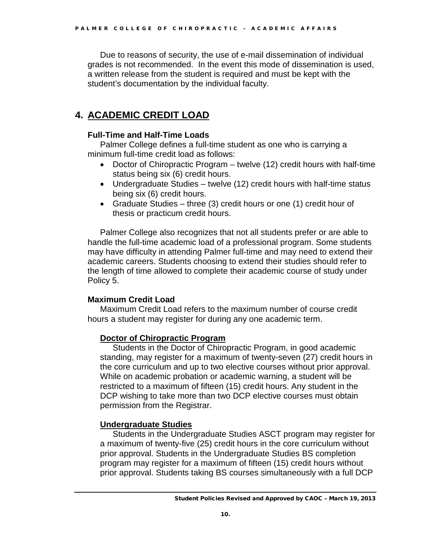Due to reasons of security, the use of e-mail dissemination of individual grades is not recommended. In the event this mode of dissemination is used, a written release from the student is required and must be kept with the student's documentation by the individual faculty.

## **4. ACADEMIC CREDIT LOAD**

### **Full-Time and Half-Time Loads**

Palmer College defines a full-time student as one who is carrying a minimum full-time credit load as follows:

- Doctor of Chiropractic Program twelve (12) credit hours with half-time status being six (6) credit hours.
- Undergraduate Studies twelve (12) credit hours with half-time status being six (6) credit hours.
- Graduate Studies three (3) credit hours or one (1) credit hour of thesis or practicum credit hours.

Palmer College also recognizes that not all students prefer or are able to handle the full-time academic load of a professional program. Some students may have difficulty in attending Palmer full-time and may need to extend their academic careers. Students choosing to extend their studies should refer to the length of time allowed to complete their academic course of study under Policy 5.

### **Maximum Credit Load**

Maximum Credit Load refers to the maximum number of course credit hours a student may register for during any one academic term.

### **Doctor of Chiropractic Program**

Students in the Doctor of Chiropractic Program, in good academic standing, may register for a maximum of twenty-seven (27) credit hours in the core curriculum and up to two elective courses without prior approval. While on academic probation or academic warning, a student will be restricted to a maximum of fifteen (15) credit hours. Any student in the DCP wishing to take more than two DCP elective courses must obtain permission from the Registrar.

### **Undergraduate Studies**

Students in the Undergraduate Studies ASCT program may register for a maximum of twenty-five (25) credit hours in the core curriculum without prior approval. Students in the Undergraduate Studies BS completion program may register for a maximum of fifteen (15) credit hours without prior approval. Students taking BS courses simultaneously with a full DCP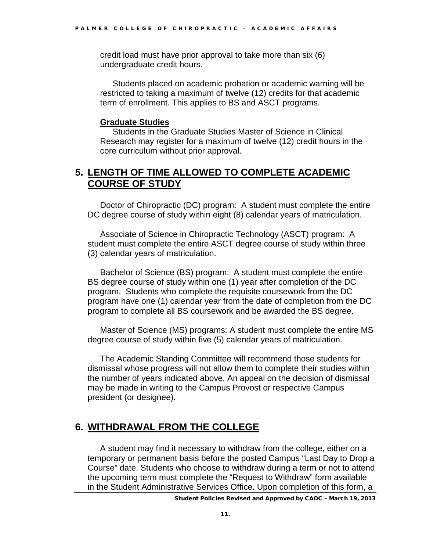credit load must have prior approval to take more than six (6) undergraduate credit hours.

Students placed on academic probation or academic warning will be restricted to taking a maximum of twelve (12) credits for that academic term of enrollment. This applies to BS and ASCT programs.

#### **Graduate Studies**

Students in the Graduate Studies Master of Science in Clinical Research may register for a maximum of twelve (12) credit hours in the core curriculum without prior approval.

# **5. LENGTH OF TIME ALLOWED TO COMPLETE ACADEMIC COURSE OF STUDY**

Doctor of Chiropractic (DC) program: A student must complete the entire DC degree course of study within eight (8) calendar years of matriculation.

Associate of Science in Chiropractic Technology (ASCT) program: A student must complete the entire ASCT degree course of study within three (3) calendar years of matriculation.

Bachelor of Science (BS) program: A student must complete the entire BS degree course of study within one (1) year after completion of the DC program. Students who complete the requisite coursework from the DC program have one (1) calendar year from the date of completion from the DC program to complete all BS coursework and be awarded the BS degree.

Master of Science (MS) programs: A student must complete the entire MS degree course of study within five (5) calendar years of matriculation.

The Academic Standing Committee will recommend those students for dismissal whose progress will not allow them to complete their studies within the number of years indicated above. An appeal on the decision of dismissal may be made in writing to the Campus Provost or respective Campus president (or designee).

# **6. WITHDRAWAL FROM THE COLLEGE**

A student may find it necessary to withdraw from the college, either on a temporary or permanent basis before the posted Campus "Last Day to Drop a Course" date. Students who choose to withdraw during a term or not to attend the upcoming term must complete the "Request to Withdraw" form available in the Student Administrative Services Office. Upon completion of this form, a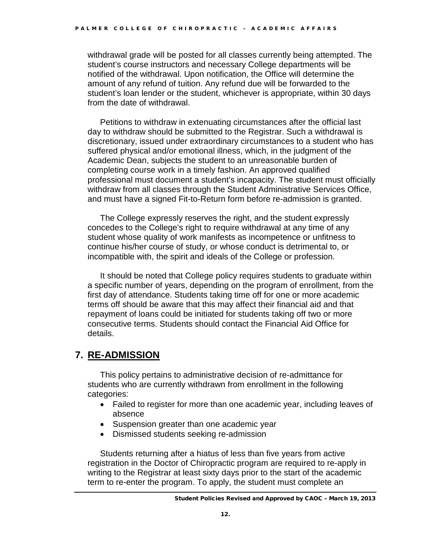withdrawal grade will be posted for all classes currently being attempted. The student's course instructors and necessary College departments will be notified of the withdrawal. Upon notification, the Office will determine the amount of any refund of tuition. Any refund due will be forwarded to the student's loan lender or the student, whichever is appropriate, within 30 days from the date of withdrawal.

Petitions to withdraw in extenuating circumstances after the official last day to withdraw should be submitted to the Registrar. Such a withdrawal is discretionary, issued under extraordinary circumstances to a student who has suffered physical and/or emotional illness, which, in the judgment of the Academic Dean, subjects the student to an unreasonable burden of completing course work in a timely fashion. An approved qualified professional must document a student's incapacity. The student must officially withdraw from all classes through the Student Administrative Services Office, and must have a signed Fit-to-Return form before re-admission is granted.

The College expressly reserves the right, and the student expressly concedes to the College's right to require withdrawal at any time of any student whose quality of work manifests as incompetence or unfitness to continue his/her course of study, or whose conduct is detrimental to, or incompatible with, the spirit and ideals of the College or profession.

It should be noted that College policy requires students to graduate within a specific number of years, depending on the program of enrollment, from the first day of attendance. Students taking time off for one or more academic terms off should be aware that this may affect their financial aid and that repayment of loans could be initiated for students taking off two or more consecutive terms. Students should contact the Financial Aid Office for details.

# **7. RE-ADMISSION**

This policy pertains to administrative decision of re-admittance for students who are currently withdrawn from enrollment in the following categories:

- Failed to register for more than one academic year, including leaves of absence
- Suspension greater than one academic year
- Dismissed students seeking re-admission

Students returning after a hiatus of less than five years from active registration in the Doctor of Chiropractic program are required to re-apply in writing to the Registrar at least sixty days prior to the start of the academic term to re-enter the program. To apply, the student must complete an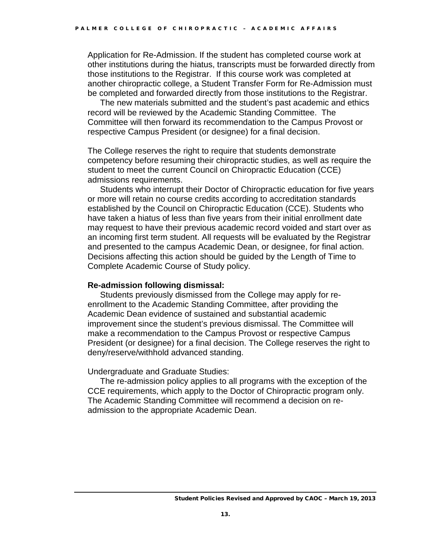Application for Re-Admission. If the student has completed course work at other institutions during the hiatus, transcripts must be forwarded directly from those institutions to the Registrar. If this course work was completed at another chiropractic college, a Student Transfer Form for Re-Admission must be completed and forwarded directly from those institutions to the Registrar.

The new materials submitted and the student's past academic and ethics record will be reviewed by the Academic Standing Committee. The Committee will then forward its recommendation to the Campus Provost or respective Campus President (or designee) for a final decision.

The College reserves the right to require that students demonstrate competency before resuming their chiropractic studies, as well as require the student to meet the current Council on Chiropractic Education (CCE) admissions requirements.

Students who interrupt their Doctor of Chiropractic education for five years or more will retain no course credits according to accreditation standards established by the Council on Chiropractic Education (CCE). Students who have taken a hiatus of less than five years from their initial enrollment date may request to have their previous academic record voided and start over as an incoming first term student. All requests will be evaluated by the Registrar and presented to the campus Academic Dean, or designee, for final action. Decisions affecting this action should be guided by the Length of Time to Complete Academic Course of Study policy.

#### **Re-admission following dismissal:**

Students previously dismissed from the College may apply for reenrollment to the Academic Standing Committee, after providing the Academic Dean evidence of sustained and substantial academic improvement since the student's previous dismissal. The Committee will make a recommendation to the Campus Provost or respective Campus President (or designee) for a final decision. The College reserves the right to deny/reserve/withhold advanced standing.

Undergraduate and Graduate Studies:

The re-admission policy applies to all programs with the exception of the CCE requirements, which apply to the Doctor of Chiropractic program only. The Academic Standing Committee will recommend a decision on readmission to the appropriate Academic Dean.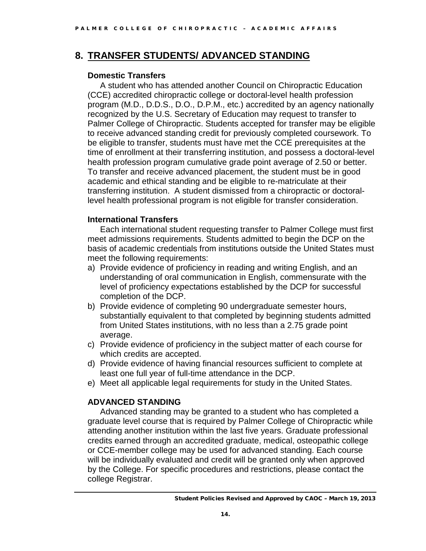## **8. TRANSFER STUDENTS/ ADVANCED STANDING**

### **Domestic Transfers**

A student who has attended another Council on Chiropractic Education (CCE) accredited chiropractic college or doctoral-level health profession program (M.D., D.D.S., D.O., D.P.M., etc.) accredited by an agency nationally recognized by the U.S. Secretary of Education may request to transfer to Palmer College of Chiropractic. Students accepted for transfer may be eligible to receive advanced standing credit for previously completed coursework. To be eligible to transfer, students must have met the CCE prerequisites at the time of enrollment at their transferring institution, and possess a doctoral-level health profession program cumulative grade point average of 2.50 or better. To transfer and receive advanced placement, the student must be in good academic and ethical standing and be eligible to re-matriculate at their transferring institution. A student dismissed from a chiropractic or doctorallevel health professional program is not eligible for transfer consideration.

### **International Transfers**

Each international student requesting transfer to Palmer College must first meet admissions requirements. Students admitted to begin the DCP on the basis of academic credentials from institutions outside the United States must meet the following requirements:

- a) Provide evidence of proficiency in reading and writing English, and an understanding of oral communication in English, commensurate with the level of proficiency expectations established by the DCP for successful completion of the DCP.
- b) Provide evidence of completing 90 undergraduate semester hours, substantially equivalent to that completed by beginning students admitted from United States institutions, with no less than a 2.75 grade point average.
- c) Provide evidence of proficiency in the subject matter of each course for which credits are accepted.
- d) Provide evidence of having financial resources sufficient to complete at least one full year of full-time attendance in the DCP.
- e) Meet all applicable legal requirements for study in the United States.

### **ADVANCED STANDING**

Advanced standing may be granted to a student who has completed a graduate level course that is required by Palmer College of Chiropractic while attending another institution within the last five years. Graduate professional credits earned through an accredited graduate, medical, osteopathic college or CCE-member college may be used for advanced standing. Each course will be individually evaluated and credit will be granted only when approved by the College. For specific procedures and restrictions, please contact the college Registrar.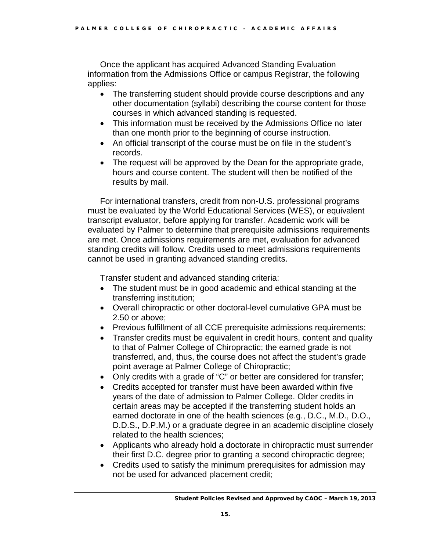Once the applicant has acquired Advanced Standing Evaluation information from the Admissions Office or campus Registrar, the following applies:

- The transferring student should provide course descriptions and any other documentation (syllabi) describing the course content for those courses in which advanced standing is requested.
- This information must be received by the Admissions Office no later than one month prior to the beginning of course instruction.
- An official transcript of the course must be on file in the student's records.
- The request will be approved by the Dean for the appropriate grade, hours and course content. The student will then be notified of the results by mail.

For international transfers, credit from non-U.S. professional programs must be evaluated by the World Educational Services (WES), or equivalent transcript evaluator, before applying for transfer. Academic work will be evaluated by Palmer to determine that prerequisite admissions requirements are met. Once admissions requirements are met, evaluation for advanced standing credits will follow. Credits used to meet admissions requirements cannot be used in granting advanced standing credits.

Transfer student and advanced standing criteria:

- The student must be in good academic and ethical standing at the transferring institution;
- Overall chiropractic or other doctoral-level cumulative GPA must be 2.50 or above;
- Previous fulfillment of all CCE prerequisite admissions requirements;
- Transfer credits must be equivalent in credit hours, content and quality to that of Palmer College of Chiropractic; the earned grade is not transferred, and, thus, the course does not affect the student's grade point average at Palmer College of Chiropractic;
- Only credits with a grade of "C" or better are considered for transfer;
- Credits accepted for transfer must have been awarded within five years of the date of admission to Palmer College. Older credits in certain areas may be accepted if the transferring student holds an earned doctorate in one of the health sciences (e.g., D.C., M.D., D.O., D.D.S., D.P.M.) or a graduate degree in an academic discipline closely related to the health sciences;
- Applicants who already hold a doctorate in chiropractic must surrender their first D.C. degree prior to granting a second chiropractic degree;
- Credits used to satisfy the minimum prerequisites for admission may not be used for advanced placement credit;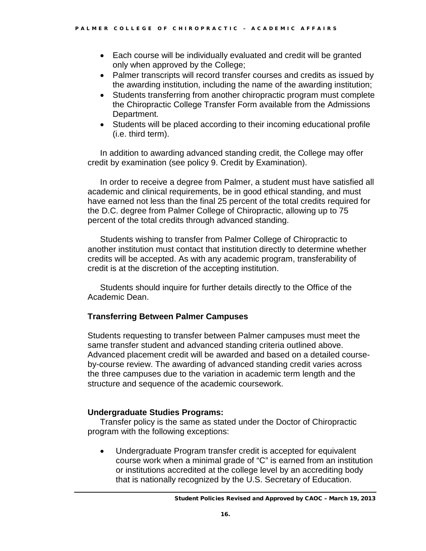- Each course will be individually evaluated and credit will be granted only when approved by the College;
- Palmer transcripts will record transfer courses and credits as issued by the awarding institution, including the name of the awarding institution;
- Students transferring from another chiropractic program must complete the Chiropractic College Transfer Form available from the Admissions Department.
- Students will be placed according to their incoming educational profile (i.e. third term).

In addition to awarding advanced standing credit, the College may offer credit by examination (see policy 9. Credit by Examination).

In order to receive a degree from Palmer, a student must have satisfied all academic and clinical requirements, be in good ethical standing, and must have earned not less than the final 25 percent of the total credits required for the D.C. degree from Palmer College of Chiropractic, allowing up to 75 percent of the total credits through advanced standing.

Students wishing to transfer from Palmer College of Chiropractic to another institution must contact that institution directly to determine whether credits will be accepted. As with any academic program, transferability of credit is at the discretion of the accepting institution.

Students should inquire for further details directly to the Office of the Academic Dean.

### **Transferring Between Palmer Campuses**

Students requesting to transfer between Palmer campuses must meet the same transfer student and advanced standing criteria outlined above. Advanced placement credit will be awarded and based on a detailed courseby-course review. The awarding of advanced standing credit varies across the three campuses due to the variation in academic term length and the structure and sequence of the academic coursework.

### **Undergraduate Studies Programs:**

Transfer policy is the same as stated under the Doctor of Chiropractic program with the following exceptions:

• Undergraduate Program transfer credit is accepted for equivalent course work when a minimal grade of "C" is earned from an institution or institutions accredited at the college level by an accrediting body that is nationally recognized by the U.S. Secretary of Education.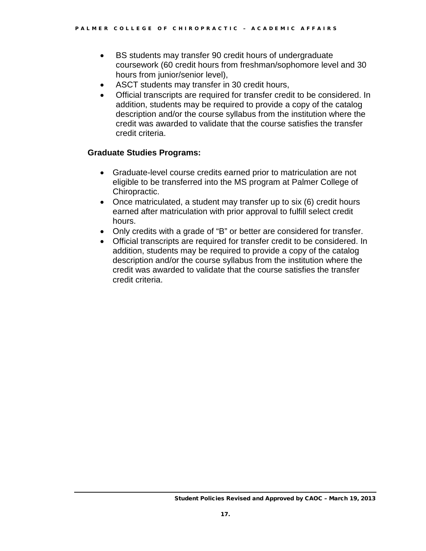- BS students may transfer 90 credit hours of undergraduate coursework (60 credit hours from freshman/sophomore level and 30 hours from junior/senior level),
- ASCT students may transfer in 30 credit hours,
- Official transcripts are required for transfer credit to be considered. In addition, students may be required to provide a copy of the catalog description and/or the course syllabus from the institution where the credit was awarded to validate that the course satisfies the transfer credit criteria.

#### **Graduate Studies Programs:**

- Graduate-level course credits earned prior to matriculation are not eligible to be transferred into the MS program at Palmer College of Chiropractic.
- Once matriculated, a student may transfer up to six (6) credit hours earned after matriculation with prior approval to fulfill select credit hours.
- Only credits with a grade of "B" or better are considered for transfer.
- Official transcripts are required for transfer credit to be considered. In addition, students may be required to provide a copy of the catalog description and/or the course syllabus from the institution where the credit was awarded to validate that the course satisfies the transfer credit criteria.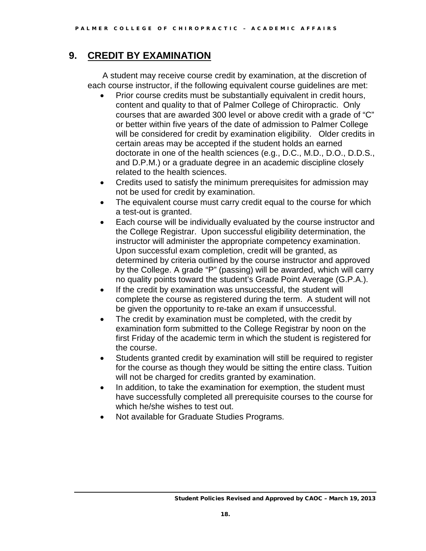## **9. CREDIT BY EXAMINATION**

A student may receive course credit by examination, at the discretion of each course instructor, if the following equivalent course guidelines are met:

- Prior course credits must be substantially equivalent in credit hours, content and quality to that of Palmer College of Chiropractic. Only courses that are awarded 300 level or above credit with a grade of "C" or better within five years of the date of admission to Palmer College will be considered for credit by examination eligibility. Older credits in certain areas may be accepted if the student holds an earned doctorate in one of the health sciences (e.g., D.C., M.D., D.O., D.D.S., and D.P.M.) or a graduate degree in an academic discipline closely related to the health sciences.
- Credits used to satisfy the minimum prerequisites for admission may not be used for credit by examination.
- The equivalent course must carry credit equal to the course for which a test-out is granted.
- Each course will be individually evaluated by the course instructor and the College Registrar. Upon successful eligibility determination, the instructor will administer the appropriate competency examination. Upon successful exam completion, credit will be granted, as determined by criteria outlined by the course instructor and approved by the College. A grade "P" (passing) will be awarded, which will carry no quality points toward the student's Grade Point Average (G.P.A.).
- If the credit by examination was unsuccessful, the student will complete the course as registered during the term. A student will not be given the opportunity to re-take an exam if unsuccessful.
- The credit by examination must be completed, with the credit by examination form submitted to the College Registrar by noon on the first Friday of the academic term in which the student is registered for the course.
- Students granted credit by examination will still be required to register for the course as though they would be sitting the entire class. Tuition will not be charged for credits granted by examination.
- In addition, to take the examination for exemption, the student must have successfully completed all prerequisite courses to the course for which he/she wishes to test out.
- Not available for Graduate Studies Programs.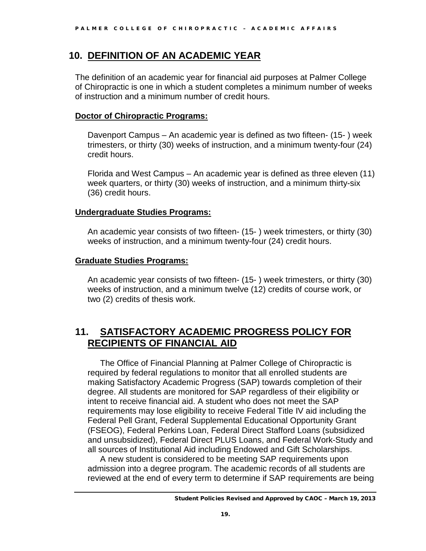### **10. DEFINITION OF AN ACADEMIC YEAR**

The definition of an academic year for financial aid purposes at Palmer College of Chiropractic is one in which a student completes a minimum number of weeks of instruction and a minimum number of credit hours.

#### **Doctor of Chiropractic Programs:**

Davenport Campus – An academic year is defined as two fifteen- (15- ) week trimesters, or thirty (30) weeks of instruction, and a minimum twenty-four (24) credit hours.

Florida and West Campus – An academic year is defined as three eleven (11) week quarters, or thirty (30) weeks of instruction, and a minimum thirty-six (36) credit hours.

### **Undergraduate Studies Programs:**

An academic year consists of two fifteen- (15- ) week trimesters, or thirty (30) weeks of instruction, and a minimum twenty-four (24) credit hours.

#### **Graduate Studies Programs:**

An academic year consists of two fifteen- (15- ) week trimesters, or thirty (30) weeks of instruction, and a minimum twelve (12) credits of course work, or two (2) credits of thesis work.

### **11. SATISFACTORY ACADEMIC PROGRESS POLICY FOR RECIPIENTS OF FINANCIAL AID**

The Office of Financial Planning at Palmer College of Chiropractic is required by federal regulations to monitor that all enrolled students are making Satisfactory Academic Progress (SAP) towards completion of their degree. All students are monitored for SAP regardless of their eligibility or intent to receive financial aid. A student who does not meet the SAP requirements may lose eligibility to receive Federal Title IV aid including the Federal Pell Grant, Federal Supplemental Educational Opportunity Grant (FSEOG), Federal Perkins Loan, Federal Direct Stafford Loans (subsidized and unsubsidized), Federal Direct PLUS Loans, and Federal Work-Study and all sources of Institutional Aid including Endowed and Gift Scholarships.

A new student is considered to be meeting SAP requirements upon admission into a degree program. The academic records of all students are reviewed at the end of every term to determine if SAP requirements are being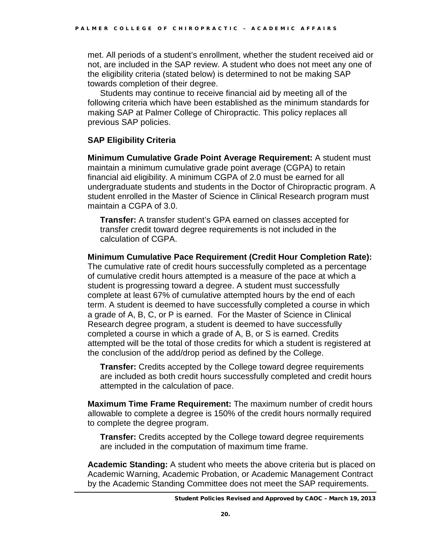met. All periods of a student's enrollment, whether the student received aid or not, are included in the SAP review. A student who does not meet any one of the eligibility criteria (stated below) is determined to not be making SAP towards completion of their degree.

Students may continue to receive financial aid by meeting all of the following criteria which have been established as the minimum standards for making SAP at Palmer College of Chiropractic. This policy replaces all previous SAP policies.

### **SAP Eligibility Criteria**

**Minimum Cumulative Grade Point Average Requirement:** A student must maintain a minimum cumulative grade point average (CGPA) to retain financial aid eligibility. A minimum CGPA of 2.0 must be earned for all undergraduate students and students in the Doctor of Chiropractic program. A student enrolled in the Master of Science in Clinical Research program must maintain a CGPA of 3.0.

**Transfer:** A transfer student's GPA earned on classes accepted for transfer credit toward degree requirements is not included in the calculation of CGPA.

#### **Minimum Cumulative Pace Requirement (Credit Hour Completion Rate):**

The cumulative rate of credit hours successfully completed as a percentage of cumulative credit hours attempted is a measure of the pace at which a student is progressing toward a degree. A student must successfully complete at least 67% of cumulative attempted hours by the end of each term. A student is deemed to have successfully completed a course in which a grade of A, B, C, or P is earned. For the Master of Science in Clinical Research degree program, a student is deemed to have successfully completed a course in which a grade of A, B, or S is earned. Credits attempted will be the total of those credits for which a student is registered at the conclusion of the add/drop period as defined by the College.

**Transfer:** Credits accepted by the College toward degree requirements are included as both credit hours successfully completed and credit hours attempted in the calculation of pace.

**Maximum Time Frame Requirement:** The maximum number of credit hours allowable to complete a degree is 150% of the credit hours normally required to complete the degree program.

**Transfer:** Credits accepted by the College toward degree requirements are included in the computation of maximum time frame.

**Academic Standing:** A student who meets the above criteria but is placed on Academic Warning, Academic Probation, or Academic Management Contract by the Academic Standing Committee does not meet the SAP requirements.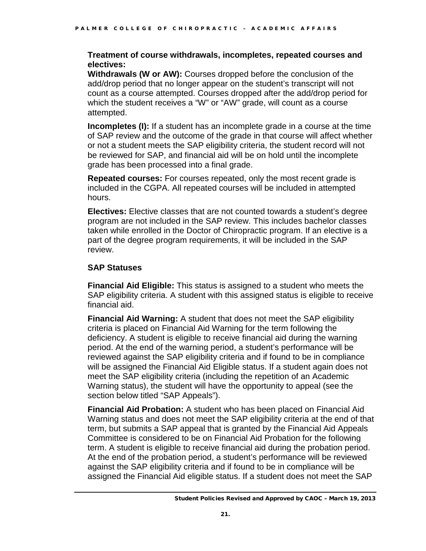#### **Treatment of course withdrawals, incompletes, repeated courses and electives:**

**Withdrawals (W or AW):** Courses dropped before the conclusion of the add/drop period that no longer appear on the student's transcript will not count as a course attempted. Courses dropped after the add/drop period for which the student receives a "W" or "AW" grade, will count as a course attempted.

**Incompletes (I):** If a student has an incomplete grade in a course at the time of SAP review and the outcome of the grade in that course will affect whether or not a student meets the SAP eligibility criteria, the student record will not be reviewed for SAP, and financial aid will be on hold until the incomplete grade has been processed into a final grade.

**Repeated courses:** For courses repeated, only the most recent grade is included in the CGPA. All repeated courses will be included in attempted hours.

**Electives:** Elective classes that are not counted towards a student's degree program are not included in the SAP review. This includes bachelor classes taken while enrolled in the Doctor of Chiropractic program. If an elective is a part of the degree program requirements, it will be included in the SAP review.

### **SAP Statuses**

**Financial Aid Eligible:** This status is assigned to a student who meets the SAP eligibility criteria. A student with this assigned status is eligible to receive financial aid.

**Financial Aid Warning:** A student that does not meet the SAP eligibility criteria is placed on Financial Aid Warning for the term following the deficiency. A student is eligible to receive financial aid during the warning period. At the end of the warning period, a student's performance will be reviewed against the SAP eligibility criteria and if found to be in compliance will be assigned the Financial Aid Eligible status. If a student again does not meet the SAP eligibility criteria (including the repetition of an Academic Warning status), the student will have the opportunity to appeal (see the section below titled "SAP Appeals").

**Financial Aid Probation:** A student who has been placed on Financial Aid Warning status and does not meet the SAP eligibility criteria at the end of that term, but submits a SAP appeal that is granted by the Financial Aid Appeals Committee is considered to be on Financial Aid Probation for the following term. A student is eligible to receive financial aid during the probation period. At the end of the probation period, a student's performance will be reviewed against the SAP eligibility criteria and if found to be in compliance will be assigned the Financial Aid eligible status. If a student does not meet the SAP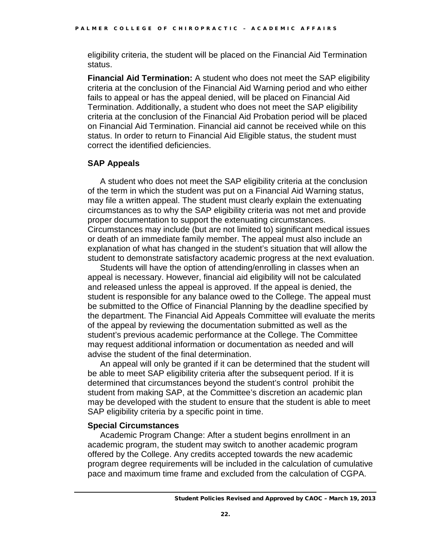eligibility criteria, the student will be placed on the Financial Aid Termination status.

**Financial Aid Termination:** A student who does not meet the SAP eligibility criteria at the conclusion of the Financial Aid Warning period and who either fails to appeal or has the appeal denied, will be placed on Financial Aid Termination. Additionally, a student who does not meet the SAP eligibility criteria at the conclusion of the Financial Aid Probation period will be placed on Financial Aid Termination. Financial aid cannot be received while on this status. In order to return to Financial Aid Eligible status, the student must correct the identified deficiencies.

#### **SAP Appeals**

A student who does not meet the SAP eligibility criteria at the conclusion of the term in which the student was put on a Financial Aid Warning status, may file a written appeal. The student must clearly explain the extenuating circumstances as to why the SAP eligibility criteria was not met and provide proper documentation to support the extenuating circumstances. Circumstances may include (but are not limited to) significant medical issues or death of an immediate family member. The appeal must also include an explanation of what has changed in the student's situation that will allow the student to demonstrate satisfactory academic progress at the next evaluation.

Students will have the option of attending/enrolling in classes when an appeal is necessary. However, financial aid eligibility will not be calculated and released unless the appeal is approved. If the appeal is denied, the student is responsible for any balance owed to the College. The appeal must be submitted to the Office of Financial Planning by the deadline specified by the department. The Financial Aid Appeals Committee will evaluate the merits of the appeal by reviewing the documentation submitted as well as the student's previous academic performance at the College. The Committee may request additional information or documentation as needed and will advise the student of the final determination.

An appeal will only be granted if it can be determined that the student will be able to meet SAP eligibility criteria after the subsequent period. If it is determined that circumstances beyond the student's control prohibit the student from making SAP, at the Committee's discretion an academic plan may be developed with the student to ensure that the student is able to meet SAP eligibility criteria by a specific point in time.

#### **Special Circumstances**

Academic Program Change: After a student begins enrollment in an academic program, the student may switch to another academic program offered by the College. Any credits accepted towards the new academic program degree requirements will be included in the calculation of cumulative pace and maximum time frame and excluded from the calculation of CGPA.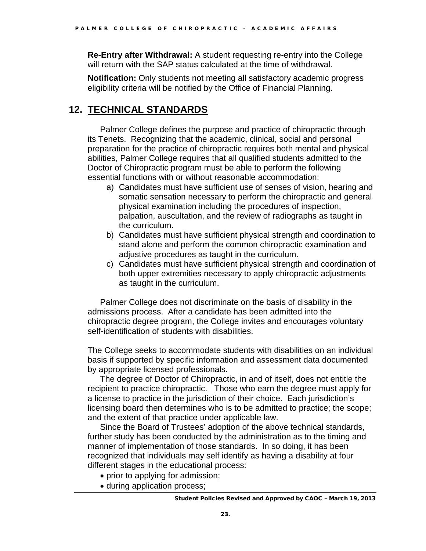**Re-Entry after Withdrawal:** A student requesting re-entry into the College will return with the SAP status calculated at the time of withdrawal.

**Notification:** Only students not meeting all satisfactory academic progress eligibility criteria will be notified by the Office of Financial Planning.

# **12. TECHNICAL STANDARDS**

Palmer College defines the purpose and practice of chiropractic through its Tenets. Recognizing that the academic, clinical, social and personal preparation for the practice of chiropractic requires both mental and physical abilities, Palmer College requires that all qualified students admitted to the Doctor of Chiropractic program must be able to perform the following essential functions with or without reasonable accommodation:

- a) Candidates must have sufficient use of senses of vision, hearing and somatic sensation necessary to perform the chiropractic and general physical examination including the procedures of inspection, palpation, auscultation, and the review of radiographs as taught in the curriculum.
- b) Candidates must have sufficient physical strength and coordination to stand alone and perform the common chiropractic examination and adjustive procedures as taught in the curriculum.
- c) Candidates must have sufficient physical strength and coordination of both upper extremities necessary to apply chiropractic adjustments as taught in the curriculum.

Palmer College does not discriminate on the basis of disability in the admissions process. After a candidate has been admitted into the chiropractic degree program, the College invites and encourages voluntary self-identification of students with disabilities.

The College seeks to accommodate students with disabilities on an individual basis if supported by specific information and assessment data documented by appropriate licensed professionals.

The degree of Doctor of Chiropractic, in and of itself, does not entitle the recipient to practice chiropractic. Those who earn the degree must apply for a license to practice in the jurisdiction of their choice. Each jurisdiction's licensing board then determines who is to be admitted to practice; the scope; and the extent of that practice under applicable law.

Since the Board of Trustees' adoption of the above technical standards, further study has been conducted by the administration as to the timing and manner of implementation of those standards. In so doing, it has been recognized that individuals may self identify as having a disability at four different stages in the educational process:

- prior to applying for admission;
- during application process;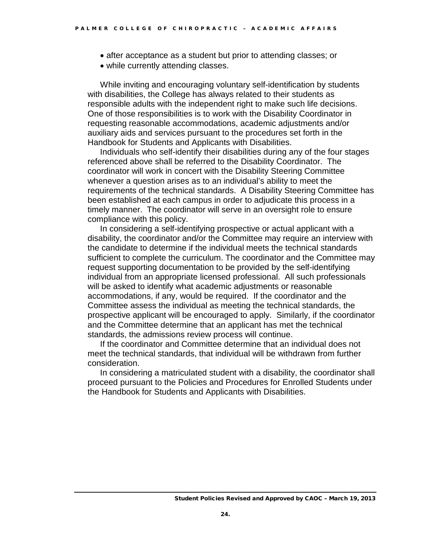- after acceptance as a student but prior to attending classes; or
- while currently attending classes.

While inviting and encouraging voluntary self-identification by students with disabilities, the College has always related to their students as responsible adults with the independent right to make such life decisions. One of those responsibilities is to work with the Disability Coordinator in requesting reasonable accommodations, academic adjustments and/or auxiliary aids and services pursuant to the procedures set forth in the Handbook for Students and Applicants with Disabilities.

Individuals who self-identify their disabilities during any of the four stages referenced above shall be referred to the Disability Coordinator. The coordinator will work in concert with the Disability Steering Committee whenever a question arises as to an individual's ability to meet the requirements of the technical standards. A Disability Steering Committee has been established at each campus in order to adjudicate this process in a timely manner. The coordinator will serve in an oversight role to ensure compliance with this policy.

In considering a self-identifying prospective or actual applicant with a disability, the coordinator and/or the Committee may require an interview with the candidate to determine if the individual meets the technical standards sufficient to complete the curriculum. The coordinator and the Committee may request supporting documentation to be provided by the self-identifying individual from an appropriate licensed professional. All such professionals will be asked to identify what academic adjustments or reasonable accommodations, if any, would be required. If the coordinator and the Committee assess the individual as meeting the technical standards, the prospective applicant will be encouraged to apply. Similarly, if the coordinator and the Committee determine that an applicant has met the technical standards, the admissions review process will continue.

If the coordinator and Committee determine that an individual does not meet the technical standards, that individual will be withdrawn from further consideration.

In considering a matriculated student with a disability, the coordinator shall proceed pursuant to the Policies and Procedures for Enrolled Students under the Handbook for Students and Applicants with Disabilities.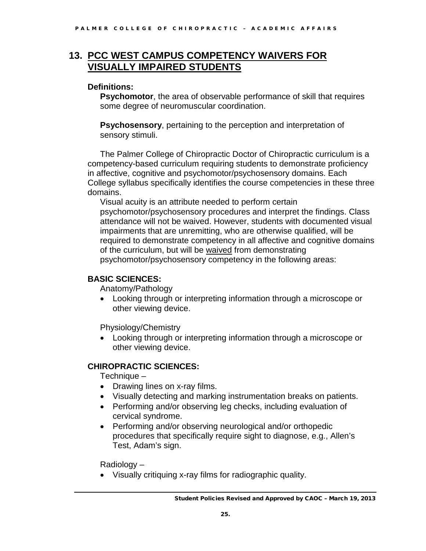# **13. PCC WEST CAMPUS COMPETENCY WAIVERS FOR VISUALLY IMPAIRED STUDENTS**

### **Definitions:**

**Psychomotor**, the area of observable performance of skill that requires some degree of neuromuscular coordination.

**Psychosensory**, pertaining to the perception and interpretation of sensory stimuli.

The Palmer College of Chiropractic Doctor of Chiropractic curriculum is a competency-based curriculum requiring students to demonstrate proficiency in affective, cognitive and psychomotor/psychosensory domains. Each College syllabus specifically identifies the course competencies in these three domains.

Visual acuity is an attribute needed to perform certain psychomotor/psychosensory procedures and interpret the findings. Class attendance will not be waived. However, students with documented visual impairments that are unremitting, who are otherwise qualified, will be required to demonstrate competency in all affective and cognitive domains of the curriculum, but will be waived from demonstrating psychomotor/psychosensory competency in the following areas:

### **BASIC SCIENCES:**

Anatomy/Pathology

• Looking through or interpreting information through a microscope or other viewing device.

Physiology/Chemistry

• Looking through or interpreting information through a microscope or other viewing device.

### **CHIROPRACTIC SCIENCES:**

Technique –

- Drawing lines on x-ray films.
- Visually detecting and marking instrumentation breaks on patients.
- Performing and/or observing leg checks, including evaluation of cervical syndrome.
- Performing and/or observing neurological and/or orthopedic procedures that specifically require sight to diagnose, e.g., Allen's Test, Adam's sign.

Radiology –

• Visually critiquing x-ray films for radiographic quality.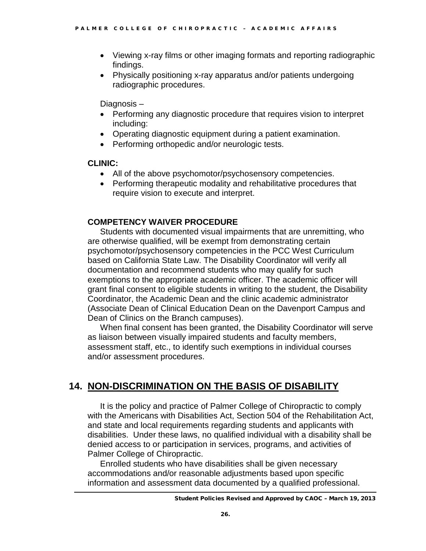- Viewing x-ray films or other imaging formats and reporting radiographic findings.
- Physically positioning x-ray apparatus and/or patients undergoing radiographic procedures.

Diagnosis –

- Performing any diagnostic procedure that requires vision to interpret including:
- Operating diagnostic equipment during a patient examination.
- Performing orthopedic and/or neurologic tests.

#### **CLINIC:**

- All of the above psychomotor/psychosensory competencies.
- Performing therapeutic modality and rehabilitative procedures that require vision to execute and interpret.

### **COMPETENCY WAIVER PROCEDURE**

Students with documented visual impairments that are unremitting, who are otherwise qualified, will be exempt from demonstrating certain psychomotor/psychosensory competencies in the PCC West Curriculum based on California State Law. The Disability Coordinator will verify all documentation and recommend students who may qualify for such exemptions to the appropriate academic officer. The academic officer will grant final consent to eligible students in writing to the student, the Disability Coordinator, the Academic Dean and the clinic academic administrator (Associate Dean of Clinical Education Dean on the Davenport Campus and Dean of Clinics on the Branch campuses).

When final consent has been granted, the Disability Coordinator will serve as liaison between visually impaired students and faculty members, assessment staff, etc., to identify such exemptions in individual courses and/or assessment procedures.

# **14. NON-DISCRIMINATION ON THE BASIS OF DISABILITY**

It is the policy and practice of Palmer College of Chiropractic to comply with the Americans with Disabilities Act, Section 504 of the Rehabilitation Act, and state and local requirements regarding students and applicants with disabilities. Under these laws, no qualified individual with a disability shall be denied access to or participation in services, programs, and activities of Palmer College of Chiropractic.

Enrolled students who have disabilities shall be given necessary accommodations and/or reasonable adjustments based upon specific information and assessment data documented by a qualified professional.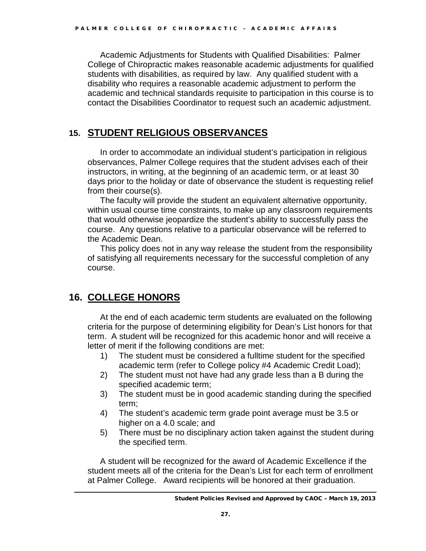Academic Adjustments for Students with Qualified Disabilities: Palmer College of Chiropractic makes reasonable academic adjustments for qualified students with disabilities, as required by law. Any qualified student with a disability who requires a reasonable academic adjustment to perform the academic and technical standards requisite to participation in this course is to contact the Disabilities Coordinator to request such an academic adjustment.

## **15. STUDENT RELIGIOUS OBSERVANCES**

In order to accommodate an individual student's participation in religious observances, Palmer College requires that the student advises each of their instructors, in writing, at the beginning of an academic term, or at least 30 days prior to the holiday or date of observance the student is requesting relief from their course(s).

The faculty will provide the student an equivalent alternative opportunity, within usual course time constraints, to make up any classroom requirements that would otherwise jeopardize the student's ability to successfully pass the course. Any questions relative to a particular observance will be referred to the Academic Dean.

This policy does not in any way release the student from the responsibility of satisfying all requirements necessary for the successful completion of any course.

# **16. COLLEGE HONORS**

At the end of each academic term students are evaluated on the following criteria for the purpose of determining eligibility for Dean's List honors for that term. A student will be recognized for this academic honor and will receive a letter of merit if the following conditions are met:

- 1) The student must be considered a fulltime student for the specified academic term (refer to College policy #4 Academic Credit Load);
- 2) The student must not have had any grade less than a B during the specified academic term;
- 3) The student must be in good academic standing during the specified term;
- 4) The student's academic term grade point average must be 3.5 or higher on a 4.0 scale; and
- 5) There must be no disciplinary action taken against the student during the specified term.

A student will be recognized for the award of Academic Excellence if the student meets all of the criteria for the Dean's List for each term of enrollment at Palmer College. Award recipients will be honored at their graduation.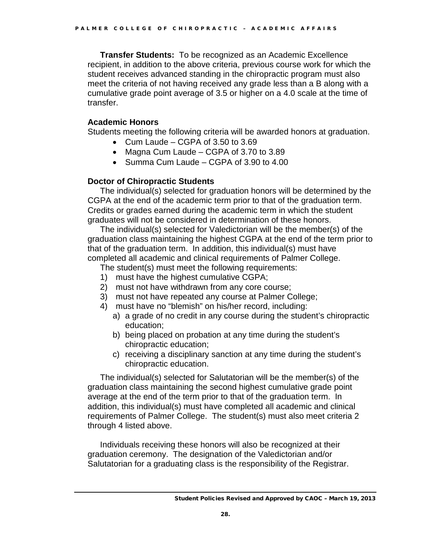**Transfer Students:** To be recognized as an Academic Excellence recipient, in addition to the above criteria, previous course work for which the student receives advanced standing in the chiropractic program must also meet the criteria of not having received any grade less than a B along with a cumulative grade point average of 3.5 or higher on a 4.0 scale at the time of transfer.

#### **Academic Honors**

Students meeting the following criteria will be awarded honors at graduation.

- Cum Laude CGPA of 3.50 to 3.69
- Magna Cum Laude CGPA of 3.70 to 3.89
- Summa Cum Laude CGPA of 3.90 to 4.00

### **Doctor of Chiropractic Students**

The individual(s) selected for graduation honors will be determined by the CGPA at the end of the academic term prior to that of the graduation term. Credits or grades earned during the academic term in which the student graduates will not be considered in determination of these honors.

The individual(s) selected for Valedictorian will be the member(s) of the graduation class maintaining the highest CGPA at the end of the term prior to that of the graduation term. In addition, this individual(s) must have completed all academic and clinical requirements of Palmer College.

The student(s) must meet the following requirements:

- 1) must have the highest cumulative CGPA;
- 2) must not have withdrawn from any core course;
- 3) must not have repeated any course at Palmer College;
- 4) must have no "blemish" on his/her record, including:
	- a) a grade of no credit in any course during the student's chiropractic education;
	- b) being placed on probation at any time during the student's chiropractic education;
	- c) receiving a disciplinary sanction at any time during the student's chiropractic education.

The individual(s) selected for Salutatorian will be the member(s) of the graduation class maintaining the second highest cumulative grade point average at the end of the term prior to that of the graduation term. In addition, this individual(s) must have completed all academic and clinical requirements of Palmer College. The student(s) must also meet criteria 2 through 4 listed above.

Individuals receiving these honors will also be recognized at their graduation ceremony. The designation of the Valedictorian and/or Salutatorian for a graduating class is the responsibility of the Registrar.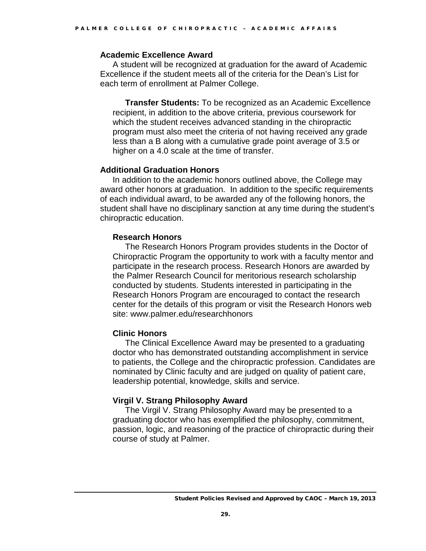#### **Academic Excellence Award**

A student will be recognized at graduation for the award of Academic Excellence if the student meets all of the criteria for the Dean's List for each term of enrollment at Palmer College.

**Transfer Students:** To be recognized as an Academic Excellence recipient, in addition to the above criteria, previous coursework for which the student receives advanced standing in the chiropractic program must also meet the criteria of not having received any grade less than a B along with a cumulative grade point average of 3.5 or higher on a 4.0 scale at the time of transfer.

#### **Additional Graduation Honors**

In addition to the academic honors outlined above, the College may award other honors at graduation. In addition to the specific requirements of each individual award, to be awarded any of the following honors, the student shall have no disciplinary sanction at any time during the student's chiropractic education.

#### **Research Honors**

The Research Honors Program provides students in the Doctor of Chiropractic Program the opportunity to work with a faculty mentor and participate in the research process. Research Honors are awarded by the Palmer Research Council for meritorious research scholarship conducted by students. Students interested in participating in the Research Honors Program are encouraged to contact the research center for the details of this program or visit the Research Honors web site: www.palmer.edu/researchhonors

#### **Clinic Honors**

The Clinical Excellence Award may be presented to a graduating doctor who has demonstrated outstanding accomplishment in service to patients, the College and the chiropractic profession. Candidates are nominated by Clinic faculty and are judged on quality of patient care, leadership potential, knowledge, skills and service.

#### **Virgil V. Strang Philosophy Award**

The Virgil V. Strang Philosophy Award may be presented to a graduating doctor who has exemplified the philosophy, commitment, passion, logic, and reasoning of the practice of chiropractic during their course of study at Palmer.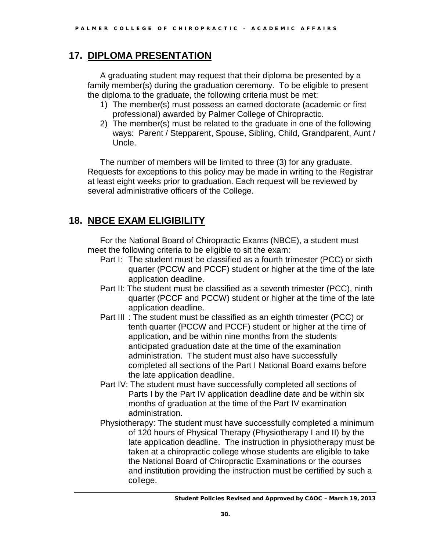# **17. DIPLOMA PRESENTATION**

A graduating student may request that their diploma be presented by a family member(s) during the graduation ceremony. To be eligible to present the diploma to the graduate, the following criteria must be met:

- 1) The member(s) must possess an earned doctorate (academic or first professional) awarded by Palmer College of Chiropractic.
- 2) The member(s) must be related to the graduate in one of the following ways: Parent / Stepparent, Spouse, Sibling, Child, Grandparent, Aunt / Uncle.

The number of members will be limited to three (3) for any graduate. Requests for exceptions to this policy may be made in writing to the Registrar at least eight weeks prior to graduation. Each request will be reviewed by several administrative officers of the College.

# **18. NBCE EXAM ELIGIBILITY**

For the National Board of Chiropractic Exams (NBCE), a student must meet the following criteria to be eligible to sit the exam:

- Part I: The student must be classified as a fourth trimester (PCC) or sixth quarter (PCCW and PCCF) student or higher at the time of the late application deadline.
- Part II: The student must be classified as a seventh trimester (PCC), ninth quarter (PCCF and PCCW) student or higher at the time of the late application deadline.
- Part III : The student must be classified as an eighth trimester (PCC) or tenth quarter (PCCW and PCCF) student or higher at the time of application, and be within nine months from the students anticipated graduation date at the time of the examination administration. The student must also have successfully completed all sections of the Part I National Board exams before the late application deadline.
- Part IV: The student must have successfully completed all sections of Parts I by the Part IV application deadline date and be within six months of graduation at the time of the Part IV examination administration.
- Physiotherapy: The student must have successfully completed a minimum of 120 hours of Physical Therapy (Physiotherapy I and II) by the late application deadline. The instruction in physiotherapy must be taken at a chiropractic college whose students are eligible to take the National Board of Chiropractic Examinations or the courses and institution providing the instruction must be certified by such a college.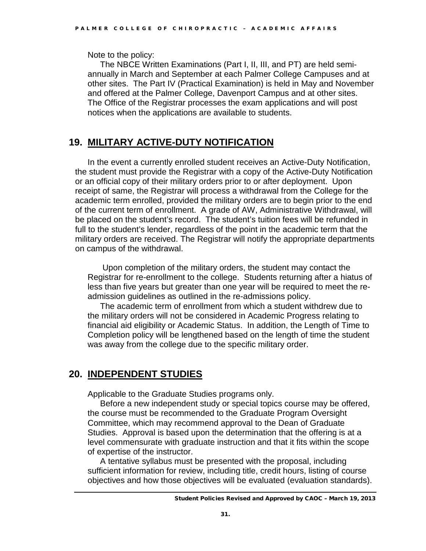Note to the policy:

The NBCE Written Examinations (Part I, II, III, and PT) are held semiannually in March and September at each Palmer College Campuses and at other sites. The Part IV (Practical Examination) is held in May and November and offered at the Palmer College, Davenport Campus and at other sites. The Office of the Registrar processes the exam applications and will post notices when the applications are available to students.

# **19. MILITARY ACTIVE-DUTY NOTIFICATION**

In the event a currently enrolled student receives an Active-Duty Notification, the student must provide the Registrar with a copy of the Active-Duty Notification or an official copy of their military orders prior to or after deployment. Upon receipt of same, the Registrar will process a withdrawal from the College for the academic term enrolled, provided the military orders are to begin prior to the end of the current term of enrollment. A grade of AW, Administrative Withdrawal, will be placed on the student's record. The student's tuition fees will be refunded in full to the student's lender, regardless of the point in the academic term that the military orders are received. The Registrar will notify the appropriate departments on campus of the withdrawal.

Upon completion of the military orders, the student may contact the Registrar for re-enrollment to the college. Students returning after a hiatus of less than five years but greater than one year will be required to meet the readmission guidelines as outlined in the re-admissions policy.

The academic term of enrollment from which a student withdrew due to the military orders will not be considered in Academic Progress relating to financial aid eligibility or Academic Status. In addition, the Length of Time to Completion policy will be lengthened based on the length of time the student was away from the college due to the specific military order.

# **20. INDEPENDENT STUDIES**

Applicable to the Graduate Studies programs only.

Before a new independent study or special topics course may be offered, the course must be recommended to the Graduate Program Oversight Committee, which may recommend approval to the Dean of Graduate Studies. Approval is based upon the determination that the offering is at a level commensurate with graduate instruction and that it fits within the scope of expertise of the instructor.

A tentative syllabus must be presented with the proposal, including sufficient information for review, including title, credit hours, listing of course objectives and how those objectives will be evaluated (evaluation standards).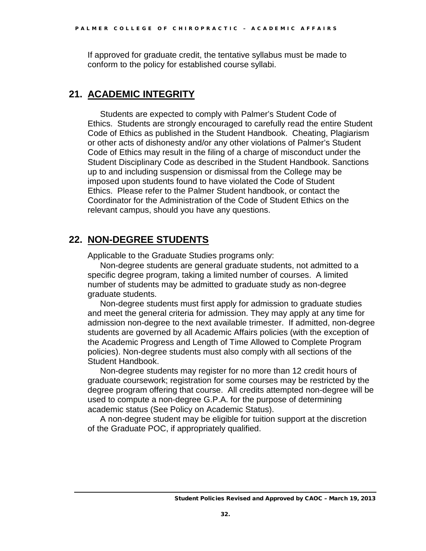If approved for graduate credit, the tentative syllabus must be made to conform to the policy for established course syllabi.

# **21. ACADEMIC INTEGRITY**

Students are expected to comply with Palmer's Student Code of Ethics. Students are strongly encouraged to carefully read the entire Student Code of Ethics as published in the Student Handbook. Cheating, Plagiarism or other acts of dishonesty and/or any other violations of Palmer's Student Code of Ethics may result in the filing of a charge of misconduct under the Student Disciplinary Code as described in the Student Handbook. Sanctions up to and including suspension or dismissal from the College may be imposed upon students found to have violated the Code of Student Ethics. Please refer to the Palmer Student handbook, or contact the Coordinator for the Administration of the Code of Student Ethics on the relevant campus, should you have any questions.

# **22. NON-DEGREE STUDENTS**

Applicable to the Graduate Studies programs only:

Non-degree students are general graduate students, not admitted to a specific degree program, taking a limited number of courses. A limited number of students may be admitted to graduate study as non-degree graduate students.

Non-degree students must first apply for admission to graduate studies and meet the general criteria for admission. They may apply at any time for admission non-degree to the next available trimester. If admitted, non-degree students are governed by all Academic Affairs policies (with the exception of the Academic Progress and Length of Time Allowed to Complete Program policies). Non-degree students must also comply with all sections of the Student Handbook.

Non-degree students may register for no more than 12 credit hours of graduate coursework; registration for some courses may be restricted by the degree program offering that course. All credits attempted non-degree will be used to compute a non-degree G.P.A. for the purpose of determining academic status (See Policy on Academic Status).

A non-degree student may be eligible for tuition support at the discretion of the Graduate POC, if appropriately qualified.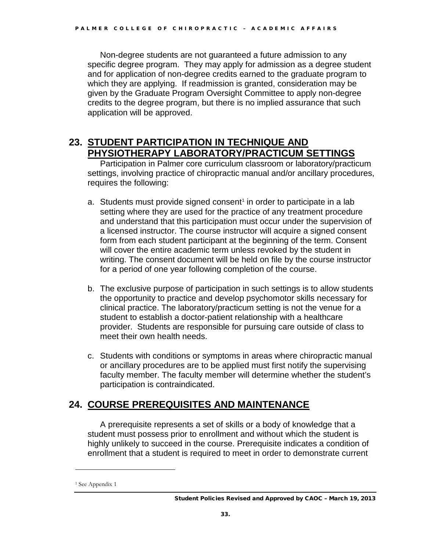Non-degree students are not guaranteed a future admission to any specific degree program. They may apply for admission as a degree student and for application of non-degree credits earned to the graduate program to which they are applying. If readmission is granted, consideration may be given by the Graduate Program Oversight Committee to apply non-degree credits to the degree program, but there is no implied assurance that such application will be approved.

## **23. STUDENT PARTICIPATION IN TECHNIQUE AND PHYSIOTHERAPY LABORATORY/PRACTICUM SETTINGS**

Participation in Palmer core curriculum classroom or laboratory/practicum settings, involving practice of chiropractic manual and/or ancillary procedures, requires the following:

- a. Students must provide signed consent<sup>[1](#page-32-0)</sup> in order to participate in a lab setting where they are used for the practice of any treatment procedure and understand that this participation must occur under the supervision of a licensed instructor. The course instructor will acquire a signed consent form from each student participant at the beginning of the term. Consent will cover the entire academic term unless revoked by the student in writing. The consent document will be held on file by the course instructor for a period of one year following completion of the course.
- b. The exclusive purpose of participation in such settings is to allow students the opportunity to practice and develop psychomotor skills necessary for clinical practice. The laboratory/practicum setting is not the venue for a student to establish a doctor-patient relationship with a healthcare provider. Students are responsible for pursuing care outside of class to meet their own health needs.
- c. Students with conditions or symptoms in areas where chiropractic manual or ancillary procedures are to be applied must first notify the supervising faculty member. The faculty member will determine whether the student's participation is contraindicated.

# **24. COURSE PREREQUISITES AND MAINTENANCE**

A prerequisite represents a set of skills or a body of knowledge that a student must possess prior to enrollment and without which the student is highly unlikely to succeed in the course. Prerequisite indicates a condition of enrollment that a student is required to meet in order to demonstrate current

 $\overline{a}$ 

<span id="page-32-0"></span><sup>1</sup> See Appendix 1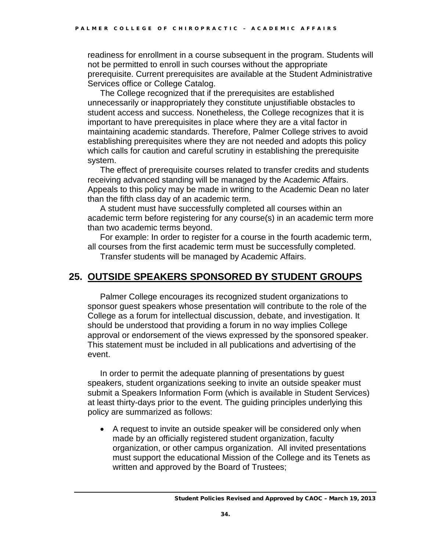readiness for enrollment in a course subsequent in the program. Students will not be permitted to enroll in such courses without the appropriate prerequisite. Current prerequisites are available at the Student Administrative Services office or College Catalog.

The College recognized that if the prerequisites are established unnecessarily or inappropriately they constitute unjustifiable obstacles to student access and success. Nonetheless, the College recognizes that it is important to have prerequisites in place where they are a vital factor in maintaining academic standards. Therefore, Palmer College strives to avoid establishing prerequisites where they are not needed and adopts this policy which calls for caution and careful scrutiny in establishing the prerequisite system.

The effect of prerequisite courses related to transfer credits and students receiving advanced standing will be managed by the Academic Affairs. Appeals to this policy may be made in writing to the Academic Dean no later than the fifth class day of an academic term.

A student must have successfully completed all courses within an academic term before registering for any course(s) in an academic term more than two academic terms beyond.

For example: In order to register for a course in the fourth academic term, all courses from the first academic term must be successfully completed.

Transfer students will be managed by Academic Affairs.

### **25. OUTSIDE SPEAKERS SPONSORED BY STUDENT GROUPS**

Palmer College encourages its recognized student organizations to sponsor guest speakers whose presentation will contribute to the role of the College as a forum for intellectual discussion, debate, and investigation. It should be understood that providing a forum in no way implies College approval or endorsement of the views expressed by the sponsored speaker. This statement must be included in all publications and advertising of the event.

In order to permit the adequate planning of presentations by guest speakers, student organizations seeking to invite an outside speaker must submit a Speakers Information Form (which is available in Student Services) at least thirty-days prior to the event. The guiding principles underlying this policy are summarized as follows:

• A request to invite an outside speaker will be considered only when made by an officially registered student organization, faculty organization, or other campus organization. All invited presentations must support the educational Mission of the College and its Tenets as written and approved by the Board of Trustees;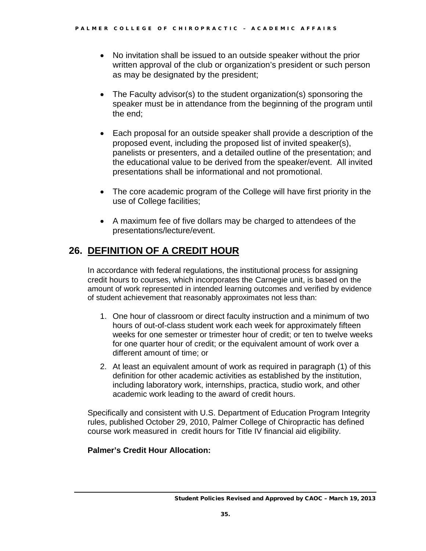- No invitation shall be issued to an outside speaker without the prior written approval of the club or organization's president or such person as may be designated by the president;
- The Faculty advisor(s) to the student organization(s) sponsoring the speaker must be in attendance from the beginning of the program until the end;
- Each proposal for an outside speaker shall provide a description of the proposed event, including the proposed list of invited speaker(s), panelists or presenters, and a detailed outline of the presentation; and the educational value to be derived from the speaker/event. All invited presentations shall be informational and not promotional.
- The core academic program of the College will have first priority in the use of College facilities;
- A maximum fee of five dollars may be charged to attendees of the presentations/lecture/event.

# **26. DEFINITION OF A CREDIT HOUR**

In accordance with federal regulations, the institutional process for assigning credit hours to courses, which incorporates the Carnegie unit, is based on the amount of work represented in intended learning outcomes and verified by evidence of student achievement that reasonably approximates not less than:

- 1. One hour of classroom or direct faculty instruction and a minimum of two hours of out-of-class student work each week for approximately fifteen weeks for one semester or trimester hour of credit; or ten to twelve weeks for one quarter hour of credit; or the equivalent amount of work over a different amount of time; or
- 2. At least an equivalent amount of work as required in paragraph (1) of this definition for other academic activities as established by the institution, including laboratory work, internships, practica, studio work, and other academic work leading to the award of credit hours.

Specifically and consistent with U.S. Department of Education Program Integrity rules, published October 29, 2010, Palmer College of Chiropractic has defined course work measured in credit hours for Title IV financial aid eligibility.

### **Palmer's Credit Hour Allocation:**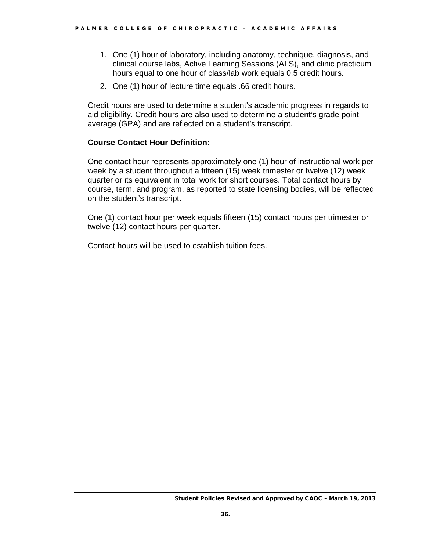- 1. One (1) hour of laboratory, including anatomy, technique, diagnosis, and clinical course labs, Active Learning Sessions (ALS), and clinic practicum hours equal to one hour of class/lab work equals 0.5 credit hours.
- 2. One (1) hour of lecture time equals .66 credit hours.

Credit hours are used to determine a student's academic progress in regards to aid eligibility. Credit hours are also used to determine a student's grade point average (GPA) and are reflected on a student's transcript.

#### **Course Contact Hour Definition:**

One contact hour represents approximately one (1) hour of instructional work per week by a student throughout a fifteen (15) week trimester or twelve (12) week quarter or its equivalent in total work for short courses. Total contact hours by course, term, and program, as reported to state licensing bodies, will be reflected on the student's transcript.

One (1) contact hour per week equals fifteen (15) contact hours per trimester or twelve (12) contact hours per quarter.

Contact hours will be used to establish tuition fees.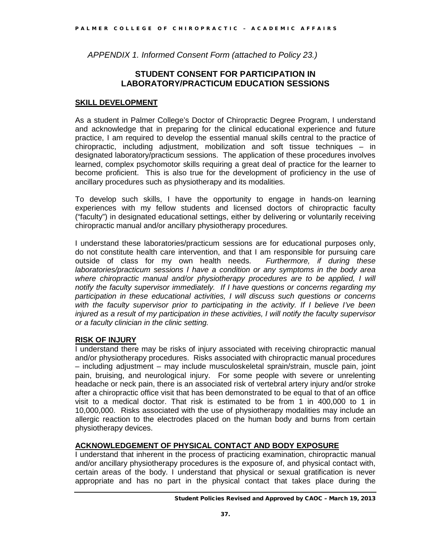*APPENDIX 1. Informed Consent Form (attached to Policy 23.)*

#### **STUDENT CONSENT FOR PARTICIPATION IN LABORATORY/PRACTICUM EDUCATION SESSIONS**

#### **SKILL DEVELOPMENT**

As a student in Palmer College's Doctor of Chiropractic Degree Program, I understand and acknowledge that in preparing for the clinical educational experience and future practice, I am required to develop the essential manual skills central to the practice of chiropractic, including adjustment, mobilization and soft tissue techniques – in designated laboratory/practicum sessions. The application of these procedures involves learned, complex psychomotor skills requiring a great deal of practice for the learner to become proficient. This is also true for the development of proficiency in the use of ancillary procedures such as physiotherapy and its modalities.

To develop such skills, I have the opportunity to engage in hands-on learning experiences with my fellow students and licensed doctors of chiropractic faculty ("faculty") in designated educational settings, either by delivering or voluntarily receiving chiropractic manual and/or ancillary physiotherapy procedures.

I understand these laboratories/practicum sessions are for educational purposes only, do not constitute health care intervention, and that I am responsible for pursuing care outside of class for my own health needs. Furthermore, if during these outside of class for my own health needs. *laboratories/practicum sessions I have a condition or any symptoms in the body area where chiropractic manual and/or physiotherapy procedures are to be applied, I will notify the faculty supervisor immediately. If I have questions or concerns regarding my participation in these educational activities, I will discuss such questions or concerns with the faculty supervisor prior to participating in the activity. If I believe I've been injured as a result of my participation in these activities, I will notify the faculty supervisor or a faculty clinician in the clinic setting.* 

#### **RISK OF INJURY**

I understand there may be risks of injury associated with receiving chiropractic manual and/or physiotherapy procedures. Risks associated with chiropractic manual procedures – including adjustment – may include musculoskeletal sprain/strain, muscle pain, joint pain, bruising, and neurological injury. For some people with severe or unrelenting headache or neck pain, there is an associated risk of vertebral artery injury and/or stroke after a chiropractic office visit that has been demonstrated to be equal to that of an office visit to a medical doctor. That risk is estimated to be from 1 in 400,000 to 1 in 10,000,000. Risks associated with the use of physiotherapy modalities may include an allergic reaction to the electrodes placed on the human body and burns from certain physiotherapy devices.

#### **ACKNOWLEDGEMENT OF PHYSICAL CONTACT AND BODY EXPOSURE**

I understand that inherent in the process of practicing examination, chiropractic manual and/or ancillary physiotherapy procedures is the exposure of, and physical contact with, certain areas of the body. I understand that physical or sexual gratification is never appropriate and has no part in the physical contact that takes place during the